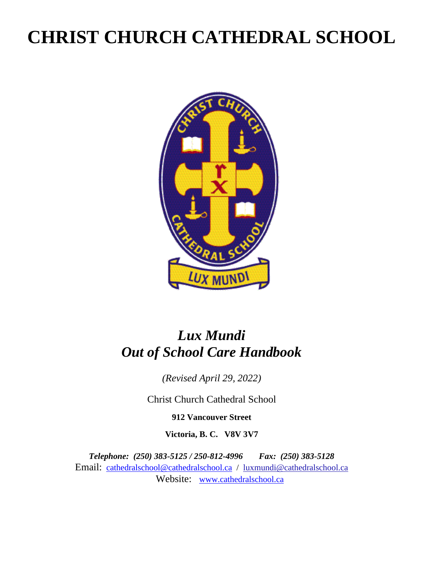# **CHRIST CHURCH CATHEDRAL SCHOOL**



## *Lux Mundi Out of School Care Handbook*

*(Revised April 29, 2022)*

Christ Church Cathedral School

**912 Vancouver Street**

**Victoria, B. C. V8V 3V7**

*Telephone: (250) 383-5125 / 250-812-4996 Fax: (250) 383-5128* Email: [cathedralschool@cathedralschool.ca](mailto:cathedralschool@cathedralschool.ca) / luxmundi@cathedralschool.ca Website: [www.cathedralschool.ca](http://www.cathedralschool.ca/)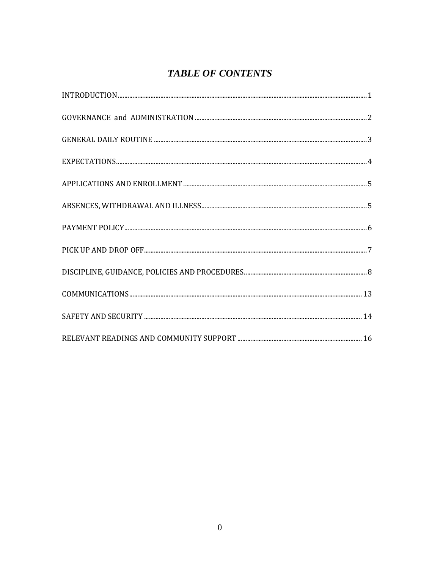### **TABLE OF CONTENTS**

| ${\tt EXPECTATIONS.}\label{thm:exponent} {\tt EXPECTATIONS.}\label{thm:exponent} {\tt O.}\label{thm:exponent}$ |  |
|----------------------------------------------------------------------------------------------------------------|--|
|                                                                                                                |  |
|                                                                                                                |  |
|                                                                                                                |  |
|                                                                                                                |  |
|                                                                                                                |  |
|                                                                                                                |  |
|                                                                                                                |  |
|                                                                                                                |  |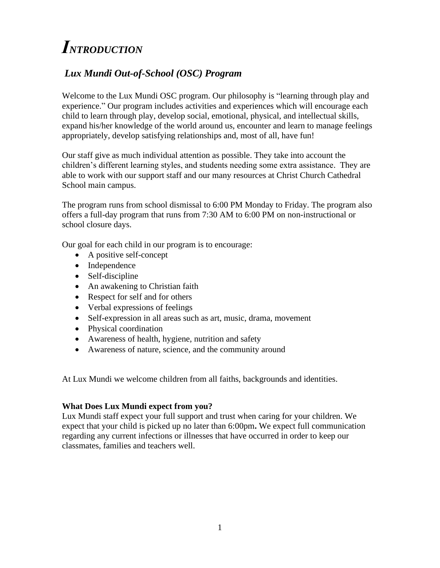# <span id="page-2-0"></span>*INTRODUCTION*

### *Lux Mundi Out-of-School (OSC) Program*

Welcome to the Lux Mundi OSC program. Our philosophy is "learning through play and experience." Our program includes activities and experiences which will encourage each child to learn through play, develop social, emotional, physical, and intellectual skills, expand his/her knowledge of the world around us, encounter and learn to manage feelings appropriately, develop satisfying relationships and, most of all, have fun!

Our staff give as much individual attention as possible. They take into account the children's different learning styles, and students needing some extra assistance. They are able to work with our support staff and our many resources at Christ Church Cathedral School main campus.

The program runs from school dismissal to 6:00 PM Monday to Friday. The program also offers a full-day program that runs from 7:30 AM to 6:00 PM on non-instructional or school closure days.

Our goal for each child in our program is to encourage:

- A positive self-concept
- Independence
- Self-discipline
- An awakening to Christian faith
- Respect for self and for others
- Verbal expressions of feelings
- Self-expression in all areas such as art, music, drama, movement
- Physical coordination
- Awareness of health, hygiene, nutrition and safety
- Awareness of nature, science, and the community around

At Lux Mundi we welcome children from all faiths, backgrounds and identities.

#### **What Does Lux Mundi expect from you?**

Lux Mundi staff expect your full support and trust when caring for your children. We expect that your child is picked up no later than 6:00pm**.** We expect full communication regarding any current infections or illnesses that have occurred in order to keep our classmates, families and teachers well.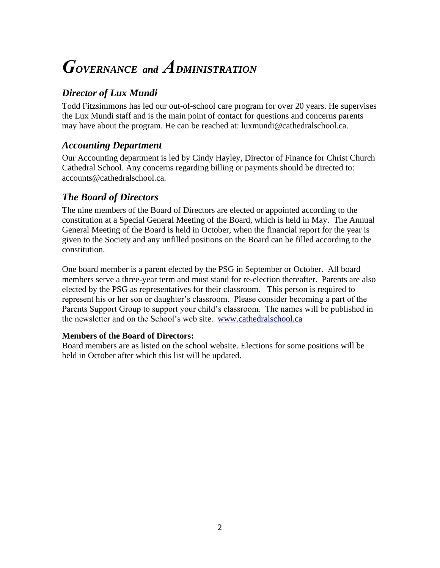## <span id="page-3-0"></span>*GOVERNANCE and ADMINISTRATION*

### *Director of Lux Mundi*

Todd Fitzsimmons has led our out-of-school care program for over 20 years. He supervises the Lux Mundi staff and is the main point of contact for questions and concerns parents may have about the program. He can be reached at: luxmundi@cathedralschool.ca.

### *Accounting Department*

Our Accounting department is led by Cindy Hayley, Director of Finance for Christ Church Cathedral School. Any concerns regarding billing or payments should be directed to: accounts@cathedralschool.ca.

### *The Board of Directors*

The nine members of the Board of Directors are elected or appointed according to the constitution at a Special General Meeting of the Board, which is held in May. The Annual General Meeting of the Board is held in October, when the financial report for the year is given to the Society and any unfilled positions on the Board can be filled according to the constitution.

One board member is a parent elected by the PSG in September or October. All board members serve a three-year term and must stand for re-election thereafter. Parents are also elected by the PSG as representatives for their classroom. This person is required to represent his or her son or daughter's classroom. Please consider becoming a part of the Parents Support Group to support your child's classroom. The names will be published in the newsletter and on the School's web site. [www.cathedralschool.ca](http://www.cathedralschool.ca/)

#### **Members of the Board of Directors:**

Board members are as listed on the school website. Elections for some positions will be held in October after which this list will be updated.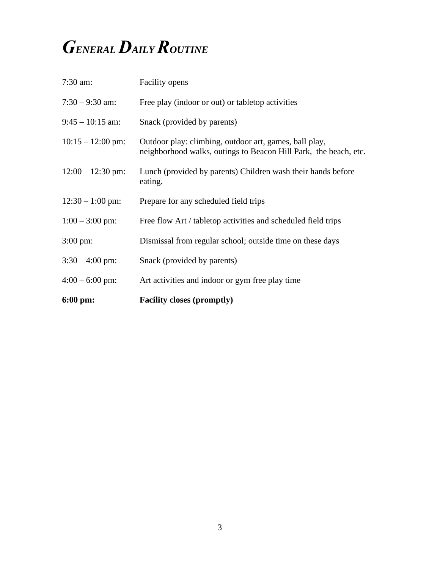# <span id="page-4-0"></span>*GENERAL DAILY ROUTINE*

| $6:00 \text{ pm}$ : | <b>Facility closes (promptly)</b>                                                                                          |
|---------------------|----------------------------------------------------------------------------------------------------------------------------|
| $4:00 - 6:00$ pm:   | Art activities and indoor or gym free play time                                                                            |
| $3:30 - 4:00$ pm:   | Snack (provided by parents)                                                                                                |
| $3:00 \text{ pm}$ : | Dismissal from regular school; outside time on these days                                                                  |
| $1:00 - 3:00$ pm:   | Free flow Art / tabletop activities and scheduled field trips                                                              |
| $12:30 - 1:00$ pm:  | Prepare for any scheduled field trips                                                                                      |
| $12:00 - 12:30$ pm: | Lunch (provided by parents) Children wash their hands before<br>eating.                                                    |
| $10:15 - 12:00$ pm: | Outdoor play: climbing, outdoor art, games, ball play,<br>neighborhood walks, outings to Beacon Hill Park, the beach, etc. |
| $9:45 - 10:15$ am:  | Snack (provided by parents)                                                                                                |
| $7:30 - 9:30$ am:   | Free play (indoor or out) or tabletop activities                                                                           |
| $7:30$ am:          | Facility opens                                                                                                             |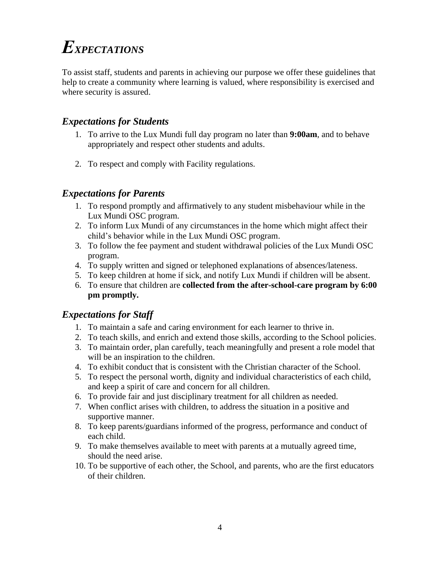# <span id="page-5-0"></span>*EXPECTATIONS*

To assist staff, students and parents in achieving our purpose we offer these guidelines that help to create a community where learning is valued, where responsibility is exercised and where security is assured.

### *Expectations for Students*

- 1. To arrive to the Lux Mundi full day program no later than **9:00am**, and to behave appropriately and respect other students and adults.
- 2. To respect and comply with Facility regulations.

### *Expectations for Parents*

- 1. To respond promptly and affirmatively to any student misbehaviour while in the Lux Mundi OSC program.
- 2. To inform Lux Mundi of any circumstances in the home which might affect their child's behavior while in the Lux Mundi OSC program.
- 3. To follow the fee payment and student withdrawal policies of the Lux Mundi OSC program.
- 4. To supply written and signed or telephoned explanations of absences/lateness.
- 5. To keep children at home if sick, and notify Lux Mundi if children will be absent.
- 6. To ensure that children are **collected from the after-school-care program by 6:00 pm promptly.**

### *Expectations for Staff*

- 1. To maintain a safe and caring environment for each learner to thrive in.
- 2. To teach skills, and enrich and extend those skills, according to the School policies.
- 3. To maintain order, plan carefully, teach meaningfully and present a role model that will be an inspiration to the children.
- 4. To exhibit conduct that is consistent with the Christian character of the School.
- 5. To respect the personal worth, dignity and individual characteristics of each child, and keep a spirit of care and concern for all children.
- 6. To provide fair and just disciplinary treatment for all children as needed.
- 7. When conflict arises with children, to address the situation in a positive and supportive manner.
- 8. To keep parents/guardians informed of the progress, performance and conduct of each child.
- 9. To make themselves available to meet with parents at a mutually agreed time, should the need arise.
- 10. To be supportive of each other, the School, and parents, who are the first educators of their children.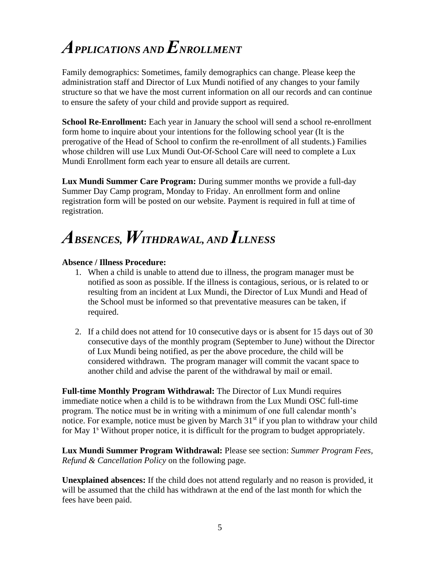# <span id="page-6-0"></span>*APPLICATIONS AND ENROLLMENT*

Family demographics: Sometimes, family demographics can change. Please keep the administration staff and Director of Lux Mundi notified of any changes to your family structure so that we have the most current information on all our records and can continue to ensure the safety of your child and provide support as required.

**School Re-Enrollment:** Each year in January the school will send a school re-enrollment form home to inquire about your intentions for the following school year (It is the prerogative of the Head of School to confirm the re-enrollment of all students.) Families whose children will use Lux Mundi Out-Of-School Care will need to complete a Lux Mundi Enrollment form each year to ensure all details are current.

**Lux Mundi Summer Care Program:** During summer months we provide a full-day Summer Day Camp program, Monday to Friday. An enrollment form and online registration form will be posted on our website. Payment is required in full at time of registration.

# <span id="page-6-1"></span>*ABSENCES, WITHDRAWAL, AND ILLNESS*

#### **Absence / Illness Procedure:**

- 1. When a child is unable to attend due to illness, the program manager must be notified as soon as possible. If the illness is contagious, serious, or is related to or resulting from an incident at Lux Mundi, the Director of Lux Mundi and Head of the School must be informed so that preventative measures can be taken, if required.
- 2. If a child does not attend for 10 consecutive days or is absent for 15 days out of 30 consecutive days of the monthly program (September to June) without the Director of Lux Mundi being notified, as per the above procedure, the child will be considered withdrawn. The program manager will commit the vacant space to another child and advise the parent of the withdrawal by mail or email.

**Full-time Monthly Program Withdrawal:** The Director of Lux Mundi requires immediate notice when a child is to be withdrawn from the Lux Mundi OSC full-time program. The notice must be in writing with a minimum of one full calendar month's notice. For example, notice must be given by March  $31<sup>st</sup>$  if you plan to withdraw your child for May 1<sup>s</sup> Without proper notice, it is difficult for the program to budget appropriately.

**Lux Mundi Summer Program Withdrawal:** Please see section: *Summer Program Fees, Refund & Cancellation Policy* on the following page.

**Unexplained absences:** If the child does not attend regularly and no reason is provided, it will be assumed that the child has withdrawn at the end of the last month for which the fees have been paid.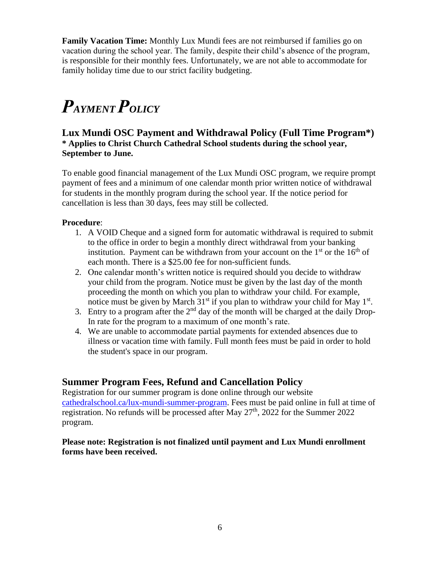**Family Vacation Time:** Monthly Lux Mundi fees are not reimbursed if families go on vacation during the school year. The family, despite their child's absence of the program, is responsible for their monthly fees. Unfortunately, we are not able to accommodate for family holiday time due to our strict facility budgeting.

# <span id="page-7-0"></span>*PAYMENT POLICY*

#### **Lux Mundi OSC Payment and Withdrawal Policy (Full Time Program\*) \* Applies to Christ Church Cathedral School students during the school year, September to June.**

To enable good financial management of the Lux Mundi OSC program, we require prompt payment of fees and a minimum of one calendar month prior written notice of withdrawal for students in the monthly program during the school year. If the notice period for cancellation is less than 30 days, fees may still be collected.

#### **Procedure**:

- 1. A VOID Cheque and a signed form for automatic withdrawal is required to submit to the office in order to begin a monthly direct withdrawal from your banking institution. Payment can be withdrawn from your account on the  $1<sup>st</sup>$  or the  $16<sup>th</sup>$  of each month. There is a \$25.00 fee for non-sufficient funds.
- 2. One calendar month's written notice is required should you decide to withdraw your child from the program. Notice must be given by the last day of the month proceeding the month on which you plan to withdraw your child. For example, notice must be given by March  $31<sup>st</sup>$  if you plan to withdraw your child for May  $1<sup>st</sup>$ .
- 3. Entry to a program after the  $2<sup>nd</sup>$  day of the month will be charged at the daily Drop-In rate for the program to a maximum of one month's rate.
- 4. We are unable to accommodate partial payments for extended absences due to illness or vacation time with family. Full month fees must be paid in order to hold the student's space in our program.

### **Summer Program Fees, Refund and Cancellation Policy**

Registration for our summer program is done online through our website [cathedralschool.ca/lux-mundi-summer-program.](https://cathedralschool.ca/lux-mundi-summer-program1/) Fees must be paid online in full at time of registration. No refunds will be processed after May  $27<sup>th</sup>$ , 2022 for the Summer 2022 program.

**Please note: Registration is not finalized until payment and Lux Mundi enrollment forms have been received.**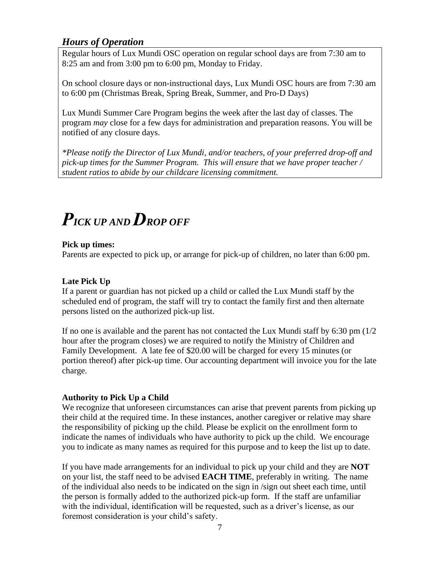### *Hours of Operation*

Regular hours of Lux Mundi OSC operation on regular school days are from 7:30 am to 8:25 am and from 3:00 pm to 6:00 pm, Monday to Friday.

On school closure days or non-instructional days, Lux Mundi OSC hours are from 7:30 am to 6:00 pm (Christmas Break, Spring Break, Summer, and Pro-D Days)

Lux Mundi Summer Care Program begins the week after the last day of classes. The program *may* close for a few days for administration and preparation reasons. You will be notified of any closure days.

*\*Please notify the Director of Lux Mundi, and/or teachers, of your preferred drop-off and pick-up times for the Summer Program. This will ensure that we have proper teacher / student ratios to abide by our childcare licensing commitment.*

## <span id="page-8-0"></span>*PICK UP AND DROP OFF*

#### **Pick up times:**

Parents are expected to pick up, or arrange for pick-up of children, no later than 6:00 pm.

#### **Late Pick Up**

If a parent or guardian has not picked up a child or called the Lux Mundi staff by the scheduled end of program, the staff will try to contact the family first and then alternate persons listed on the authorized pick-up list.

If no one is available and the parent has not contacted the Lux Mundi staff by 6:30 pm (1/2 hour after the program closes) we are required to notify the Ministry of Children and Family Development. A late fee of \$20.00 will be charged for every 15 minutes (or portion thereof) after pick-up time. Our accounting department will invoice you for the late charge.

#### **Authority to Pick Up a Child**

We recognize that unforeseen circumstances can arise that prevent parents from picking up their child at the required time. In these instances, another caregiver or relative may share the responsibility of picking up the child. Please be explicit on the enrollment form to indicate the names of individuals who have authority to pick up the child. We encourage you to indicate as many names as required for this purpose and to keep the list up to date.

If you have made arrangements for an individual to pick up your child and they are **NOT** on your list, the staff need to be advised **EACH TIME**, preferably in writing. The name of the individual also needs to be indicated on the sign in /sign out sheet each time, until the person is formally added to the authorized pick-up form. If the staff are unfamiliar with the individual, identification will be requested, such as a driver's license, as our foremost consideration is your child's safety.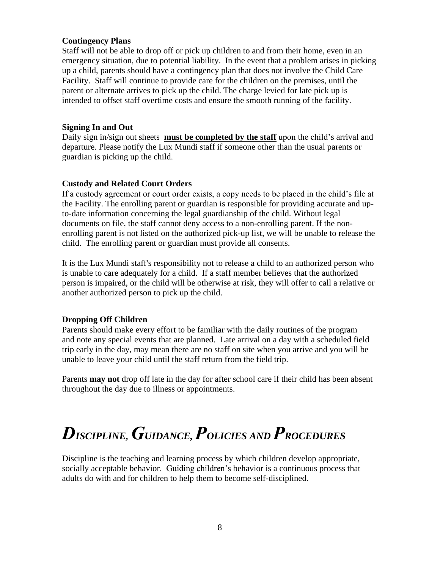#### **Contingency Plans**

Staff will not be able to drop off or pick up children to and from their home, even in an emergency situation, due to potential liability. In the event that a problem arises in picking up a child, parents should have a contingency plan that does not involve the Child Care Facility. Staff will continue to provide care for the children on the premises, until the parent or alternate arrives to pick up the child. The charge levied for late pick up is intended to offset staff overtime costs and ensure the smooth running of the facility.

#### **Signing In and Out**

Daily sign in/sign out sheets **must be completed by the staff** upon the child's arrival and departure. Please notify the Lux Mundi staff if someone other than the usual parents or guardian is picking up the child.

#### **Custody and Related Court Orders**

If a custody agreement or court order exists, a copy needs to be placed in the child's file at the Facility. The enrolling parent or guardian is responsible for providing accurate and upto-date information concerning the legal guardianship of the child. Without legal documents on file, the staff cannot deny access to a non-enrolling parent. If the nonenrolling parent is not listed on the authorized pick-up list, we will be unable to release the child. The enrolling parent or guardian must provide all consents.

It is the Lux Mundi staff's responsibility not to release a child to an authorized person who is unable to care adequately for a child. If a staff member believes that the authorized person is impaired, or the child will be otherwise at risk, they will offer to call a relative or another authorized person to pick up the child.

#### **Dropping Off Children**

Parents should make every effort to be familiar with the daily routines of the program and note any special events that are planned. Late arrival on a day with a scheduled field trip early in the day, may mean there are no staff on site when you arrive and you will be unable to leave your child until the staff return from the field trip.

Parents **may not** drop off late in the day for after school care if their child has been absent throughout the day due to illness or appointments.

## <span id="page-9-0"></span>*DISCIPLINE,GUIDANCE,POLICIES AND PROCEDURES*

Discipline is the teaching and learning process by which children develop appropriate, socially acceptable behavior. Guiding children's behavior is a continuous process that adults do with and for children to help them to become self-disciplined.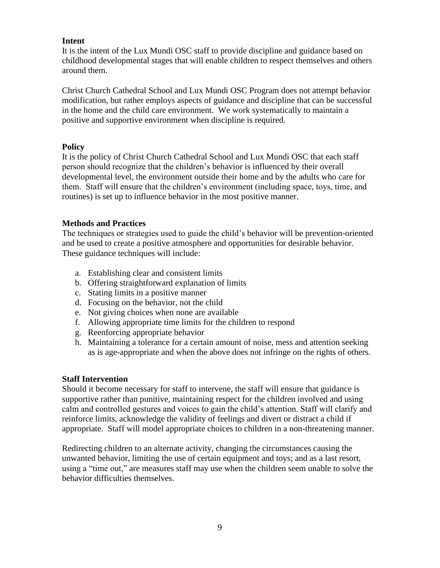#### **Intent**

It is the intent of the Lux Mundi OSC staff to provide discipline and guidance based on childhood developmental stages that will enable children to respect themselves and others around them.

Christ Church Cathedral School and Lux Mundi OSC Program does not attempt behavior modification, but rather employs aspects of guidance and discipline that can be successful in the home and the child care environment. We work systematically to maintain a positive and supportive environment when discipline is required.

#### **Policy**

It is the policy of Christ Church Cathedral School and Lux Mundi OSC that each staff person should recognize that the children's behavior is influenced by their overall developmental level, the environment outside their home and by the adults who care for them. Staff will ensure that the children's environment (including space, toys, time, and routines) is set up to influence behavior in the most positive manner.

#### **Methods and Practices**

The techniques or strategies used to guide the child's behavior will be prevention-oriented and be used to create a positive atmosphere and opportunities for desirable behavior. These guidance techniques will include:

- a. Establishing clear and consistent limits
- b. Offering straightforward explanation of limits
- c. Stating limits in a positive manner
- d. Focusing on the behavior, not the child
- e. Not giving choices when none are available
- f. Allowing appropriate time limits for the children to respond
- g. Reenforcing appropriate behavior
- h. Maintaining a tolerance for a certain amount of noise, mess and attention seeking as is age-appropriate and when the above does not infringe on the rights of others.

#### **Staff Intervention**

Should it become necessary for staff to intervene, the staff will ensure that guidance is supportive rather than punitive, maintaining respect for the children involved and using calm and controlled gestures and voices to gain the child's attention. Staff will clarify and reinforce limits, acknowledge the validity of feelings and divert or distract a child if appropriate. Staff will model appropriate choices to children in a non-threatening manner.

Redirecting children to an alternate activity, changing the circumstances causing the unwanted behavior, limiting the use of certain equipment and toys; and as a last resort, using a "time out," are measures staff may use when the children seem unable to solve the behavior difficulties themselves.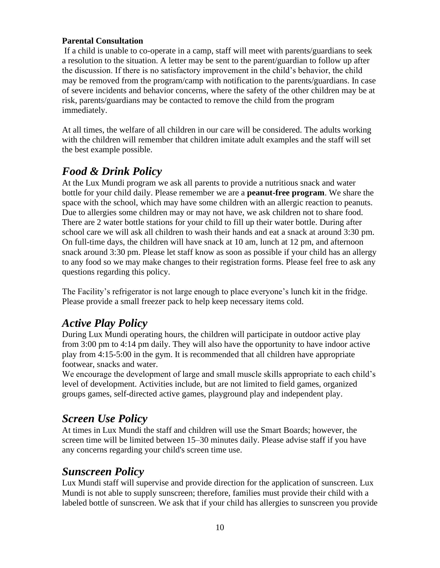#### **Parental Consultation**

If a child is unable to co-operate in a camp, staff will meet with parents/guardians to seek a resolution to the situation. A letter may be sent to the parent/guardian to follow up after the discussion. If there is no satisfactory improvement in the child's behavior, the child may be removed from the program/camp with notification to the parents/guardians. In case of severe incidents and behavior concerns, where the safety of the other children may be at risk, parents/guardians may be contacted to remove the child from the program immediately.

At all times, the welfare of all children in our care will be considered. The adults working with the children will remember that children imitate adult examples and the staff will set the best example possible.

### *Food & Drink Policy*

At the Lux Mundi program we ask all parents to provide a nutritious snack and water bottle for your child daily. Please remember we are a **peanut-free program**. We share the space with the school, which may have some children with an allergic reaction to peanuts. Due to allergies some children may or may not have, we ask children not to share food. There are 2 water bottle stations for your child to fill up their water bottle. During after school care we will ask all children to wash their hands and eat a snack at around 3:30 pm. On full-time days, the children will have snack at 10 am, lunch at 12 pm, and afternoon snack around 3:30 pm. Please let staff know as soon as possible if your child has an allergy to any food so we may make changes to their registration forms. Please feel free to ask any questions regarding this policy.

The Facility's refrigerator is not large enough to place everyone's lunch kit in the fridge. Please provide a small freezer pack to help keep necessary items cold.

### *Active Play Policy*

During Lux Mundi operating hours, the children will participate in outdoor active play from 3:00 pm to 4:14 pm daily. They will also have the opportunity to have indoor active play from 4:15-5:00 in the gym. It is recommended that all children have appropriate footwear, snacks and water.

We encourage the development of large and small muscle skills appropriate to each child's level of development. Activities include, but are not limited to field games, organized groups games, self-directed active games, playground play and independent play.

### *Screen Use Policy*

At times in Lux Mundi the staff and children will use the Smart Boards; however, the screen time will be limited between 15–30 minutes daily. Please advise staff if you have any concerns regarding your child's screen time use.

### *Sunscreen Policy*

Lux Mundi staff will supervise and provide direction for the application of sunscreen. Lux Mundi is not able to supply sunscreen; therefore, families must provide their child with a labeled bottle of sunscreen. We ask that if your child has allergies to sunscreen you provide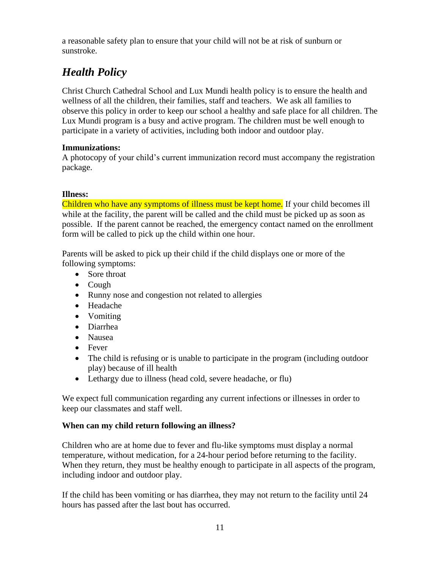a reasonable safety plan to ensure that your child will not be at risk of sunburn or sunstroke.

## *Health Policy*

Christ Church Cathedral School and Lux Mundi health policy is to ensure the health and wellness of all the children, their families, staff and teachers. We ask all families to observe this policy in order to keep our school a healthy and safe place for all children. The Lux Mundi program is a busy and active program. The children must be well enough to participate in a variety of activities, including both indoor and outdoor play.

#### **Immunizations:**

A photocopy of your child's current immunization record must accompany the registration package.

#### **Illness:**

Children who have any symptoms of illness must be kept home. If your child becomes ill while at the facility, the parent will be called and the child must be picked up as soon as possible. If the parent cannot be reached, the emergency contact named on the enrollment form will be called to pick up the child within one hour.

Parents will be asked to pick up their child if the child displays one or more of the following symptoms:

- Sore throat
- Cough
- Runny nose and congestion not related to allergies
- Headache
- Vomiting
- Diarrhea
- Nausea
- Fever
- The child is refusing or is unable to participate in the program (including outdoor play) because of ill health
- Lethargy due to illness (head cold, severe headache, or flu)

We expect full communication regarding any current infections or illnesses in order to keep our classmates and staff well.

#### **When can my child return following an illness?**

Children who are at home due to fever and flu-like symptoms must display a normal temperature, without medication, for a 24-hour period before returning to the facility. When they return, they must be healthy enough to participate in all aspects of the program, including indoor and outdoor play.

If the child has been vomiting or has diarrhea, they may not return to the facility until 24 hours has passed after the last bout has occurred.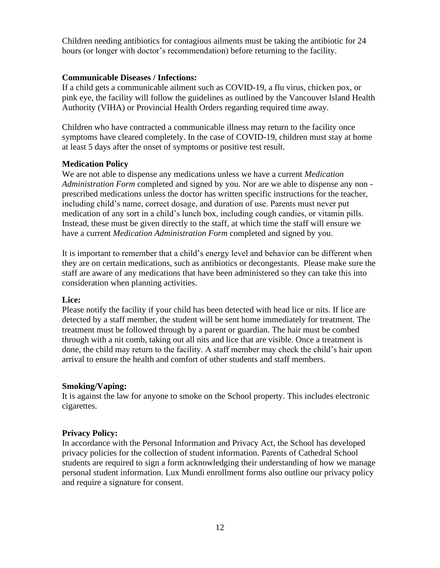Children needing antibiotics for contagious ailments must be taking the antibiotic for 24 hours (or longer with doctor's recommendation) before returning to the facility.

#### **Communicable Diseases / Infections:**

If a child gets a communicable ailment such as COVID-19, a flu virus, chicken pox, or pink eye, the facility will follow the guidelines as outlined by the Vancouver Island Health Authority (VIHA) or Provincial Health Orders regarding required time away.

Children who have contracted a communicable illness may return to the facility once symptoms have cleared completely. In the case of COVID-19, children must stay at home at least 5 days after the onset of symptoms or positive test result.

#### **Medication Policy**

We are not able to dispense any medications unless we have a current *Medication Administration Form* completed and signed by you. Nor are we able to dispense any non prescribed medications unless the doctor has written specific instructions for the teacher, including child's name, correct dosage, and duration of use. Parents must never put medication of any sort in a child's lunch box, including cough candies, or vitamin pills. Instead, these must be given directly to the staff, at which time the staff will ensure we have a current *Medication Administration Form* completed and signed by you.

It is important to remember that a child's energy level and behavior can be different when they are on certain medications, such as antibiotics or decongestants. Please make sure the staff are aware of any medications that have been administered so they can take this into consideration when planning activities.

#### **Lice:**

Please notify the facility if your child has been detected with head lice or nits. If lice are detected by a staff member, the student will be sent home immediately for treatment. The treatment must be followed through by a parent or guardian. The hair must be combed through with a nit comb, taking out all nits and lice that are visible. Once a treatment is done, the child may return to the facility. A staff member may check the child's hair upon arrival to ensure the health and comfort of other students and staff members.

#### **Smoking/Vaping:**

It is against the law for anyone to smoke on the School property. This includes electronic cigarettes.

#### **Privacy Policy:**

In accordance with the Personal Information and Privacy Act, the School has developed privacy policies for the collection of student information. Parents of Cathedral School students are required to sign a form acknowledging their understanding of how we manage personal student information. Lux Mundi enrollment forms also outline our privacy policy and require a signature for consent.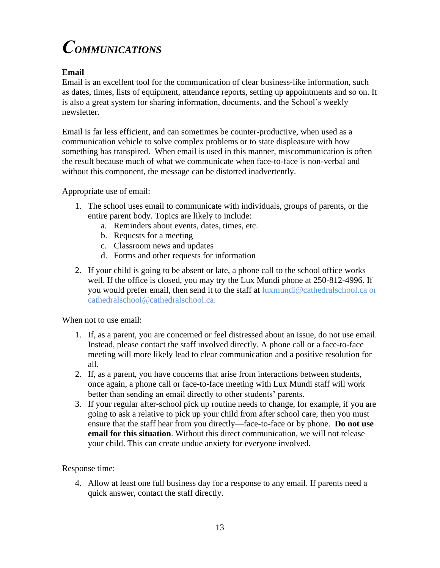# <span id="page-14-0"></span>*COMMUNICATIONS*

#### **Email**

Email is an excellent tool for the communication of clear business-like information, such as dates, times, lists of equipment, attendance reports, setting up appointments and so on. It is also a great system for sharing information, documents, and the School's weekly newsletter.

Email is far less efficient, and can sometimes be counter-productive, when used as a communication vehicle to solve complex problems or to state displeasure with how something has transpired. When email is used in this manner, miscommunication is often the result because much of what we communicate when face-to-face is non-verbal and without this component, the message can be distorted inadvertently.

Appropriate use of email:

- 1. The school uses email to communicate with individuals, groups of parents, or the entire parent body. Topics are likely to include:
	- a. Reminders about events, dates, times, etc.
	- b. Requests for a meeting
	- c. Classroom news and updates
	- d. Forms and other requests for information
- 2. If your child is going to be absent or late, a phone call to the school office works well. If the office is closed, you may try the Lux Mundi phone at 250-812-4996. If you would prefer email, then send it to the staff at luxmundi@cathedralschool.ca or cathedralschool@cathedralschool.ca.

When not to use email:

- 1. If, as a parent, you are concerned or feel distressed about an issue, do not use email. Instead, please contact the staff involved directly. A phone call or a face-to-face meeting will more likely lead to clear communication and a positive resolution for all.
- 2. If, as a parent, you have concerns that arise from interactions between students, once again, a phone call or face-to-face meeting with Lux Mundi staff will work better than sending an email directly to other students' parents.
- 3. If your regular after-school pick up routine needs to change, for example, if you are going to ask a relative to pick up your child from after school care, then you must ensure that the staff hear from you directly—face-to-face or by phone. **Do not use email for this situation**. Without this direct communication, we will not release your child. This can create undue anxiety for everyone involved.

Response time:

4. Allow at least one full business day for a response to any email. If parents need a quick answer, contact the staff directly.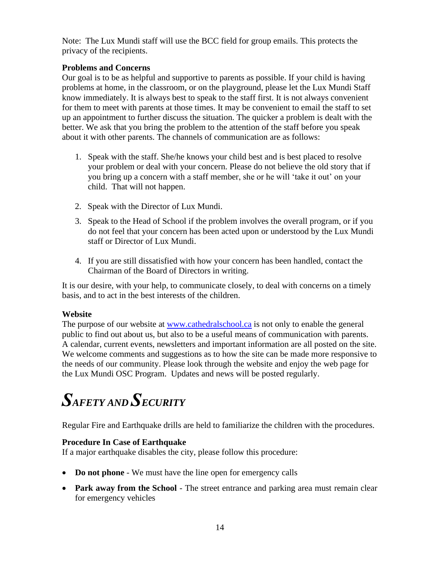Note: The Lux Mundi staff will use the BCC field for group emails. This protects the privacy of the recipients.

#### **Problems and Concerns**

Our goal is to be as helpful and supportive to parents as possible. If your child is having problems at home, in the classroom, or on the playground, please let the Lux Mundi Staff know immediately. It is always best to speak to the staff first. It is not always convenient for them to meet with parents at those times. It may be convenient to email the staff to set up an appointment to further discuss the situation. The quicker a problem is dealt with the better. We ask that you bring the problem to the attention of the staff before you speak about it with other parents. The channels of communication are as follows:

- 1. Speak with the staff. She/he knows your child best and is best placed to resolve your problem or deal with your concern. Please do not believe the old story that if you bring up a concern with a staff member, she or he will 'take it out' on your child. That will not happen.
- 2. Speak with the Director of Lux Mundi.
- 3. Speak to the Head of School if the problem involves the overall program, or if you do not feel that your concern has been acted upon or understood by the Lux Mundi staff or Director of Lux Mundi.
- 4. If you are still dissatisfied with how your concern has been handled, contact the Chairman of the Board of Directors in writing.

It is our desire, with your help, to communicate closely, to deal with concerns on a timely basis, and to act in the best interests of the children.

#### **Website**

The purpose of our website at [www.cathedralschool.ca](http://www.cathedralschool.ca/) is not only to enable the general public to find out about us, but also to be a useful means of communication with parents. A calendar, current events, newsletters and important information are all posted on the site. We welcome comments and suggestions as to how the site can be made more responsive to the needs of our community. Please look through the website and enjoy the web page for the Lux Mundi OSC Program. Updates and news will be posted regularly.

# <span id="page-15-0"></span>*SAFETY AND SECURITY*

Regular Fire and Earthquake drills are held to familiarize the children with the procedures.

#### **Procedure In Case of Earthquake**

If a major earthquake disables the city, please follow this procedure:

- **Do not phone**  We must have the line open for emergency calls
- **Park away from the School** The street entrance and parking area must remain clear for emergency vehicles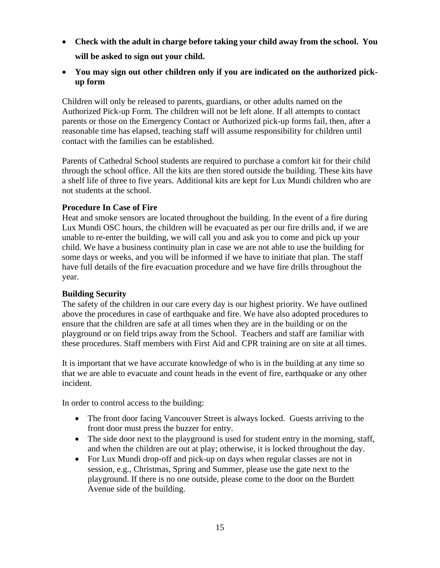- **Check with the adult in charge before taking your child away from the school. You will be asked to sign out your child.**
- **You may sign out other children only if you are indicated on the authorized pickup form**

Children will only be released to parents, guardians, or other adults named on the Authorized Pick-up Form. The children will not be left alone. If all attempts to contact parents or those on the Emergency Contact or Authorized pick-up forms fail, then, after a reasonable time has elapsed, teaching staff will assume responsibility for children until contact with the families can be established.

Parents of Cathedral School students are required to purchase a comfort kit for their child through the school office. All the kits are then stored outside the building. These kits have a shelf life of three to five years. Additional kits are kept for Lux Mundi children who are not students at the school.

#### **Procedure In Case of Fire**

Heat and smoke sensors are located throughout the building. In the event of a fire during Lux Mundi OSC hours, the children will be evacuated as per our fire drills and, if we are unable to re-enter the building, we will call you and ask you to come and pick up your child. We have a business continuity plan in case we are not able to use the building for some days or weeks, and you will be informed if we have to initiate that plan. The staff have full details of the fire evacuation procedure and we have fire drills throughout the year.

#### **Building Security**

The safety of the children in our care every day is our highest priority. We have outlined above the procedures in case of earthquake and fire. We have also adopted procedures to ensure that the children are safe at all times when they are in the building or on the playground or on field trips away from the School. Teachers and staff are familiar with these procedures. Staff members with First Aid and CPR training are on site at all times.

It is important that we have accurate knowledge of who is in the building at any time so that we are able to evacuate and count heads in the event of fire, earthquake or any other incident.

In order to control access to the building:

- The front door facing Vancouver Street is always locked. Guests arriving to the front door must press the buzzer for entry.
- The side door next to the playground is used for student entry in the morning, staff, and when the children are out at play; otherwise, it is locked throughout the day.
- For Lux Mundi drop-off and pick-up on days when regular classes are not in session, e.g., Christmas, Spring and Summer, please use the gate next to the playground. If there is no one outside, please come to the door on the Burdett Avenue side of the building.